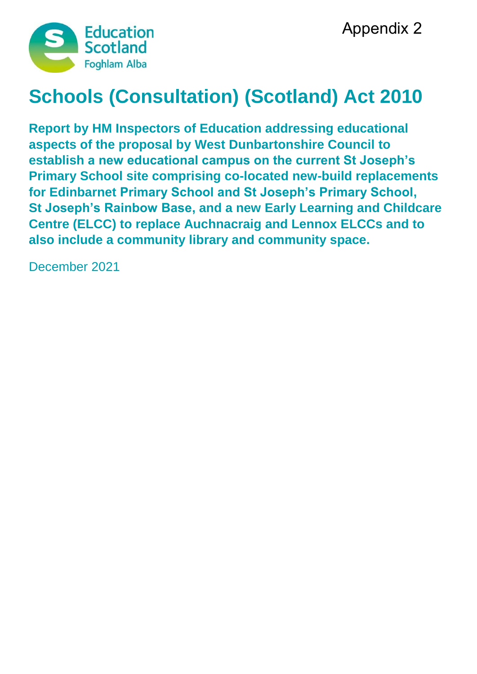

# **Schools (Consultation) (Scotland) Act 2010**

**Report by HM Inspectors of Education addressing educational aspects of the proposal by West Dunbartonshire Council to establish a new educational campus on the current St Joseph's Primary School site comprising co-located new-build replacements for Edinbarnet Primary School and St Joseph's Primary School, St Joseph's Rainbow Base, and a new Early Learning and Childcare Centre (ELCC) to replace Auchnacraig and Lennox ELCCs and to also include a community library and community space.**

December 2021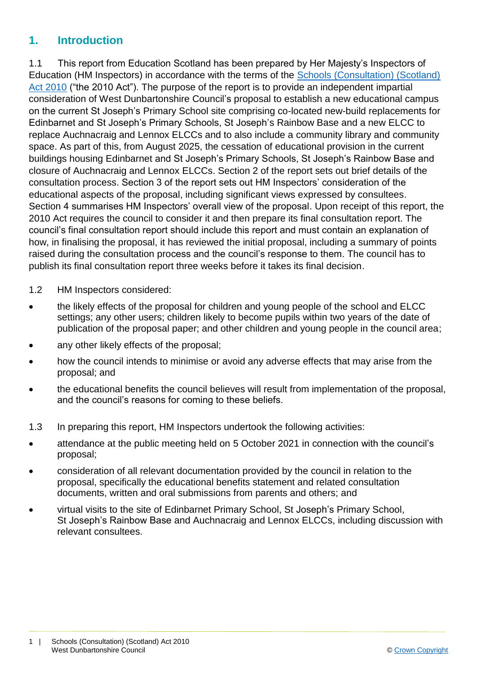### **1. Introduction**

1.1 This report from Education Scotland has been prepared by Her Majesty's Inspectors of Education (HM Inspectors) in accordance with the terms of the [Schools \(Consultation\) \(Scotland\)](https://www.google.co.uk/url?sa=t&rct=j&q=&esrc=s&source=web&cd=1&cad=rja&uact=8&ved=2ahUKEwj9-7GYkvLeAhXOasAKHT9vCtMQFjAAegQICRAB&url=https%3A%2F%2Fwww.legislation.gov.uk%2Fasp%2F2010%2F2%2Fcontents&usg=AOvVaw2lRwXOuXBCn_fz2wA9W6o2)  [Act 2010](https://www.google.co.uk/url?sa=t&rct=j&q=&esrc=s&source=web&cd=1&cad=rja&uact=8&ved=2ahUKEwj9-7GYkvLeAhXOasAKHT9vCtMQFjAAegQICRAB&url=https%3A%2F%2Fwww.legislation.gov.uk%2Fasp%2F2010%2F2%2Fcontents&usg=AOvVaw2lRwXOuXBCn_fz2wA9W6o2) ("the 2010 Act"). The purpose of the report is to provide an independent impartial consideration of West Dunbartonshire Council's proposal to establish a new educational campus on the current St Joseph's Primary School site comprising co-located new-build replacements for Edinbarnet and St Joseph's Primary Schools, St Joseph's Rainbow Base and a new ELCC to replace Auchnacraig and Lennox ELCCs and to also include a community library and community space. As part of this, from August 2025, the cessation of educational provision in the current buildings housing Edinbarnet and St Joseph's Primary Schools, St Joseph's Rainbow Base and closure of Auchnacraig and Lennox ELCCs. Section 2 of the report sets out brief details of the consultation process. Section 3 of the report sets out HM Inspectors' consideration of the educational aspects of the proposal, including significant views expressed by consultees. Section 4 summarises HM Inspectors' overall view of the proposal. Upon receipt of this report, the 2010 Act requires the council to consider it and then prepare its final consultation report. The council's final consultation report should include this report and must contain an explanation of how, in finalising the proposal, it has reviewed the initial proposal, including a summary of points raised during the consultation process and the council's response to them. The council has to publish its final consultation report three weeks before it takes its final decision.

- 1.2 HM Inspectors considered:
- the likely effects of the proposal for children and young people of the school and ELCC settings; any other users; children likely to become pupils within two years of the date of publication of the proposal paper; and other children and young people in the council area;
- any other likely effects of the proposal;
- how the council intends to minimise or avoid any adverse effects that may arise from the proposal; and
- the educational benefits the council believes will result from implementation of the proposal, and the council's reasons for coming to these beliefs.
- 1.3 In preparing this report, HM Inspectors undertook the following activities:
- attendance at the public meeting held on 5 October 2021 in connection with the council's proposal;
- consideration of all relevant documentation provided by the council in relation to the proposal, specifically the educational benefits statement and related consultation documents, written and oral submissions from parents and others; and
- virtual visits to the site of Edinbarnet Primary School, St Joseph's Primary School, St Joseph's Rainbow Base and Auchnacraig and Lennox ELCCs, including discussion with relevant consultees.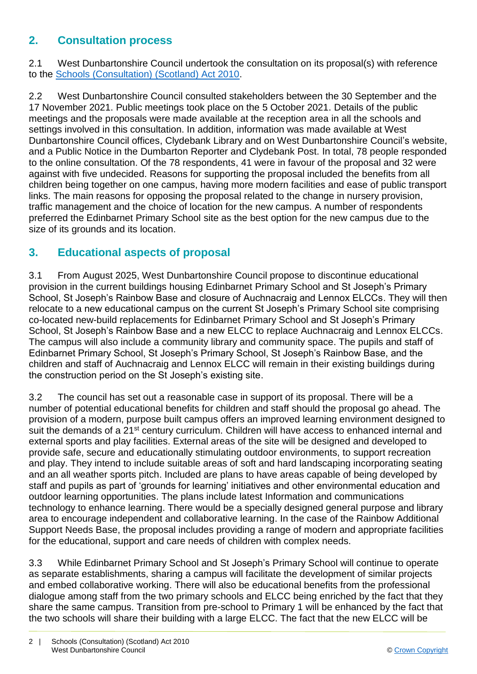## **2. Consultation process**

2.1 West Dunbartonshire Council undertook the consultation on its proposal(s) with reference to the [Schools \(Consultation\) \(Scotland\) Act 2010.](https://www.google.co.uk/url?sa=t&rct=j&q=&esrc=s&source=web&cd=1&cad=rja&uact=8&ved=2ahUKEwj9-7GYkvLeAhXOasAKHT9vCtMQFjAAegQICRAB&url=https%3A%2F%2Fwww.legislation.gov.uk%2Fasp%2F2010%2F2%2Fcontents&usg=AOvVaw2lRwXOuXBCn_fz2wA9W6o2)

2.2 West Dunbartonshire Council consulted stakeholders between the 30 September and the 17 November 2021. Public meetings took place on the 5 October 2021. Details of the public meetings and the proposals were made available at the reception area in all the schools and settings involved in this consultation. In addition, information was made available at West Dunbartonshire Council offices, Clydebank Library and on West Dunbartonshire Council's website, and a Public Notice in the Dumbarton Reporter and Clydebank Post. In total, 78 people responded to the online consultation. Of the 78 respondents, 41 were in favour of the proposal and 32 were against with five undecided. Reasons for supporting the proposal included the benefits from all children being together on one campus, having more modern facilities and ease of public transport links. The main reasons for opposing the proposal related to the change in nursery provision, traffic management and the choice of location for the new campus. A number of respondents preferred the Edinbarnet Primary School site as the best option for the new campus due to the size of its grounds and its location.

### **3. Educational aspects of proposal**

3.1 From August 2025, West Dunbartonshire Council propose to discontinue educational provision in the current buildings housing Edinbarnet Primary School and St Joseph's Primary School, St Joseph's Rainbow Base and closure of Auchnacraig and Lennox ELCCs. They will then relocate to a new educational campus on the current St Joseph's Primary School site comprising co-located new-build replacements for Edinbarnet Primary School and St Joseph's Primary School, St Joseph's Rainbow Base and a new ELCC to replace Auchnacraig and Lennox ELCCs. The campus will also include a community library and community space. The pupils and staff of Edinbarnet Primary School, St Joseph's Primary School, St Joseph's Rainbow Base, and the children and staff of Auchnacraig and Lennox ELCC will remain in their existing buildings during the construction period on the St Joseph's existing site.

3.2 The council has set out a reasonable case in support of its proposal. There will be a number of potential educational benefits for children and staff should the proposal go ahead. The provision of a modern, purpose built campus offers an improved learning environment designed to suit the demands of a 21<sup>st</sup> century curriculum. Children will have access to enhanced internal and external sports and play facilities. External areas of the site will be designed and developed to provide safe, secure and educationally stimulating outdoor environments, to support recreation and play. They intend to include suitable areas of soft and hard landscaping incorporating seating and an all weather sports pitch. Included are plans to have areas capable of being developed by staff and pupils as part of 'grounds for learning' initiatives and other environmental education and outdoor learning opportunities. The plans include latest Information and communications technology to enhance learning. There would be a specially designed general purpose and library area to encourage independent and collaborative learning. In the case of the Rainbow Additional Support Needs Base, the proposal includes providing a range of modern and appropriate facilities for the educational, support and care needs of children with complex needs.

3.3 While Edinbarnet Primary School and St Joseph's Primary School will continue to operate as separate establishments, sharing a campus will facilitate the development of similar projects and embed collaborative working. There will also be educational benefits from the professional dialogue among staff from the two primary schools and ELCC being enriched by the fact that they share the same campus. Transition from pre-school to Primary 1 will be enhanced by the fact that the two schools will share their building with a large ELCC. The fact that the new ELCC will be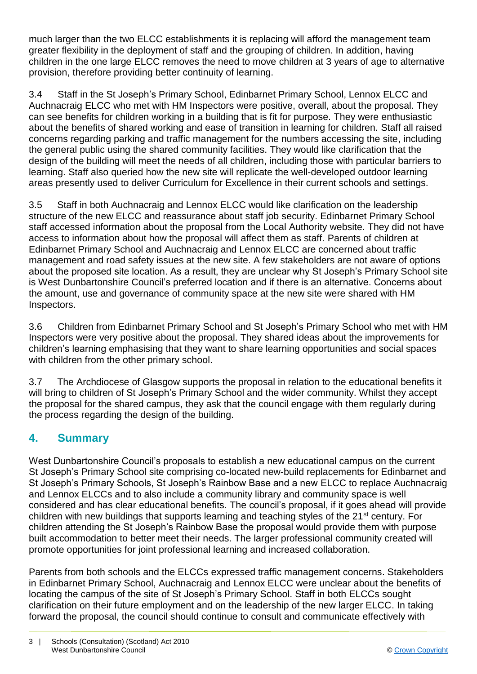much larger than the two ELCC establishments it is replacing will afford the management team greater flexibility in the deployment of staff and the grouping of children. In addition, having children in the one large ELCC removes the need to move children at 3 years of age to alternative provision, therefore providing better continuity of learning.

3.4 Staff in the St Joseph's Primary School, Edinbarnet Primary School, Lennox ELCC and Auchnacraig ELCC who met with HM Inspectors were positive, overall, about the proposal. They can see benefits for children working in a building that is fit for purpose. They were enthusiastic about the benefits of shared working and ease of transition in learning for children. Staff all raised concerns regarding parking and traffic management for the numbers accessing the site, including the general public using the shared community facilities. They would like clarification that the design of the building will meet the needs of all children, including those with particular barriers to learning. Staff also queried how the new site will replicate the well-developed outdoor learning areas presently used to deliver Curriculum for Excellence in their current schools and settings.

3.5 Staff in both Auchnacraig and Lennox ELCC would like clarification on the leadership structure of the new ELCC and reassurance about staff job security. Edinbarnet Primary School staff accessed information about the proposal from the Local Authority website. They did not have access to information about how the proposal will affect them as staff. Parents of children at Edinbarnet Primary School and Auchnacraig and Lennox ELCC are concerned about traffic management and road safety issues at the new site. A few stakeholders are not aware of options about the proposed site location. As a result, they are unclear why St Joseph's Primary School site is West Dunbartonshire Council's preferred location and if there is an alternative. Concerns about the amount, use and governance of community space at the new site were shared with HM Inspectors.

3.6 Children from Edinbarnet Primary School and St Joseph's Primary School who met with HM Inspectors were very positive about the proposal. They shared ideas about the improvements for children's learning emphasising that they want to share learning opportunities and social spaces with children from the other primary school.

3.7 The Archdiocese of Glasgow supports the proposal in relation to the educational benefits it will bring to children of St Joseph's Primary School and the wider community. Whilst they accept the proposal for the shared campus, they ask that the council engage with them regularly during the process regarding the design of the building.

## **4. Summary**

West Dunbartonshire Council's proposals to establish a new educational campus on the current St Joseph's Primary School site comprising co-located new-build replacements for Edinbarnet and St Joseph's Primary Schools, St Joseph's Rainbow Base and a new ELCC to replace Auchnacraig and Lennox ELCCs and to also include a community library and community space is well considered and has clear educational benefits. The council's proposal, if it goes ahead will provide children with new buildings that supports learning and teaching styles of the 21st century. For children attending the St Joseph's Rainbow Base the proposal would provide them with purpose built accommodation to better meet their needs. The larger professional community created will promote opportunities for joint professional learning and increased collaboration.

Parents from both schools and the ELCCs expressed traffic management concerns. Stakeholders in Edinbarnet Primary School, Auchnacraig and Lennox ELCC were unclear about the benefits of locating the campus of the site of St Joseph's Primary School. Staff in both ELCCs sought clarification on their future employment and on the leadership of the new larger ELCC. In taking forward the proposal, the council should continue to consult and communicate effectively with